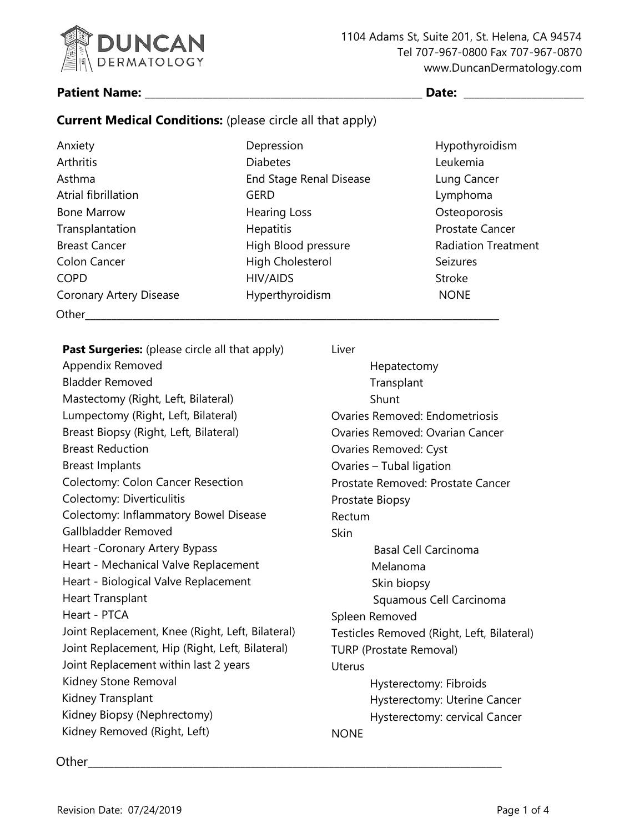

#### Patient Name: Date:

# **Current Medical Conditions:** (please circle all that apply)

| Anxiety                        | Depression                     | Hypothyroidism             |
|--------------------------------|--------------------------------|----------------------------|
| Arthritis                      | <b>Diabetes</b>                | Leukemia                   |
| Asthma                         | <b>End Stage Renal Disease</b> | Lung Cancer                |
| Atrial fibrillation            | <b>GERD</b>                    | Lymphoma                   |
| <b>Bone Marrow</b>             | <b>Hearing Loss</b>            | Osteoporosis               |
| Transplantation                | <b>Hepatitis</b>               | <b>Prostate Cancer</b>     |
| <b>Breast Cancer</b>           | High Blood pressure            | <b>Radiation Treatment</b> |
| Colon Cancer                   | High Cholesterol               | <b>Seizures</b>            |
| <b>COPD</b>                    | HIV/AIDS                       | Stroke                     |
| <b>Coronary Artery Disease</b> | Hyperthyroidism                | <b>NONE</b>                |
| Other                          |                                |                            |

**Past Surgeries:** (please circle all that apply) Appendix Removed Bladder Removed Mastectomy (Right, Left, Bilateral) Lumpectomy (Right, Left, Bilateral) Breast Biopsy (Right, Left, Bilateral) Breast Reduction Breast Implants Colectomy: Colon Cancer Resection Colectomy: Diverticulitis Colectomy: Inflammatory Bowel Disease Gallbladder Removed Heart -Coronary Artery Bypass Heart - Mechanical Valve Replacement Heart - Biological Valve Replacement Heart Transplant Heart - PTCA Joint Replacement, Knee (Right, Left, Bilateral) Joint Replacement, Hip (Right, Left, Bilateral) Joint Replacement within last 2 years Kidney Stone Removal Kidney Transplant Kidney Biopsy (Nephrectomy) Kidney Removed (Right, Left)

Liver

Hepatectomy **Transplant** Shunt Ovaries Removed: Endometriosis Ovaries Removed: Ovarian Cancer Ovaries Removed: Cyst Ovaries – Tubal ligation Prostate Removed: Prostate Cancer Prostate Biopsy Rectum **Skin** Basal Cell Carcinoma Melanoma Skin biopsy Squamous Cell Carcinoma Spleen Removed Testicles Removed (Right, Left, Bilateral) TURP (Prostate Removal) Uterus Hysterectomy: Fibroids Hysterectomy: Uterine Cancer Hysterectomy: cervical Cancer NONE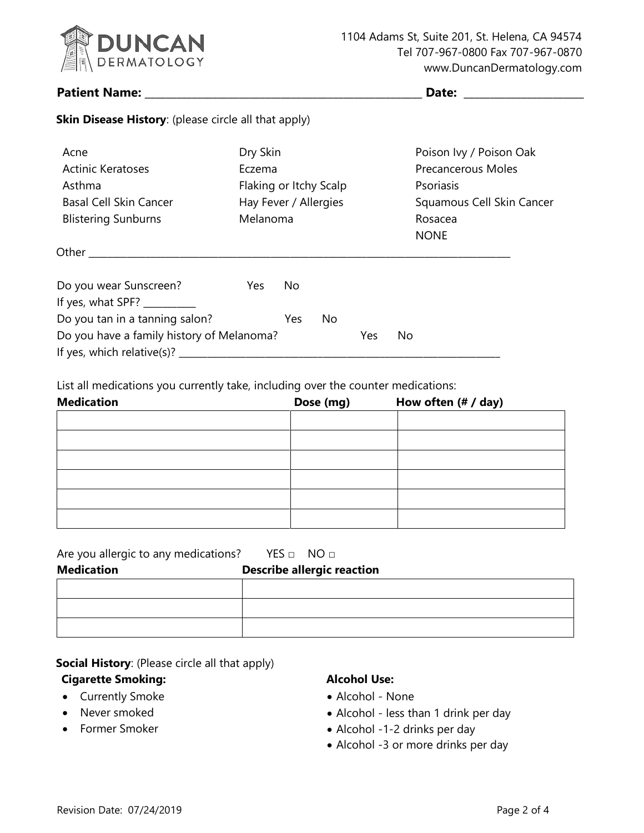

**Skin Disease History**: (please circle all that apply)

#### **Patient Name: \_\_\_\_\_\_\_\_\_\_\_\_\_\_\_\_\_\_\_\_\_\_\_\_\_\_\_\_\_\_\_\_\_\_\_\_\_\_\_\_\_\_\_\_\_\_\_\_\_\_\_\_\_ Date: \_\_\_\_\_\_\_\_\_\_\_\_\_\_\_\_\_\_\_\_\_\_\_**

| Acne<br>Actinic Keratoses<br>Asthma<br><b>Basal Cell Skin Cancer</b><br><b>Blistering Sunburns</b> | Dry Skin<br>Eczema<br>Hay Fever / Allergies<br>Melanoma |     | Flaking or Itchy Scalp |     | Poison Ivy / Poison Oak<br><b>Precancerous Moles</b><br>Psoriasis<br>Squamous Cell Skin Cancer<br>Rosacea<br><b>NONE</b> |  |
|----------------------------------------------------------------------------------------------------|---------------------------------------------------------|-----|------------------------|-----|--------------------------------------------------------------------------------------------------------------------------|--|
|                                                                                                    |                                                         |     |                        |     |                                                                                                                          |  |
| Do you wear Sunscreen?<br>If yes, what SPF?                                                        | Yes                                                     | No  |                        |     |                                                                                                                          |  |
| Do you tan in a tanning salon?                                                                     |                                                         | Yes | No                     |     |                                                                                                                          |  |
| Do you have a family history of Melanoma?<br>If yes, which relative(s)?                            |                                                         |     |                        | Yes | No                                                                                                                       |  |

List all medications you currently take, including over the counter medications:

| <b>Medication</b> | How often (# / day)<br>Dose (mg) |  |  |
|-------------------|----------------------------------|--|--|
|                   |                                  |  |  |
|                   |                                  |  |  |
|                   |                                  |  |  |
|                   |                                  |  |  |
|                   |                                  |  |  |
|                   |                                  |  |  |

| Are you allergic to any medications? YES $\Box$ NO $\Box$ |                                   |
|-----------------------------------------------------------|-----------------------------------|
| <b>Medication</b>                                         | <b>Describe allergic reaction</b> |
|                                                           |                                   |
|                                                           |                                   |
|                                                           |                                   |

**Social History**: (Please circle all that apply)

#### **Cigarette Smoking:**

- Currently Smoke
- Never smoked
- Former Smoker

#### **Alcohol Use:**

- Alcohol None
- Alcohol less than 1 drink per day
- Alcohol -1-2 drinks per day
- Alcohol -3 or more drinks per day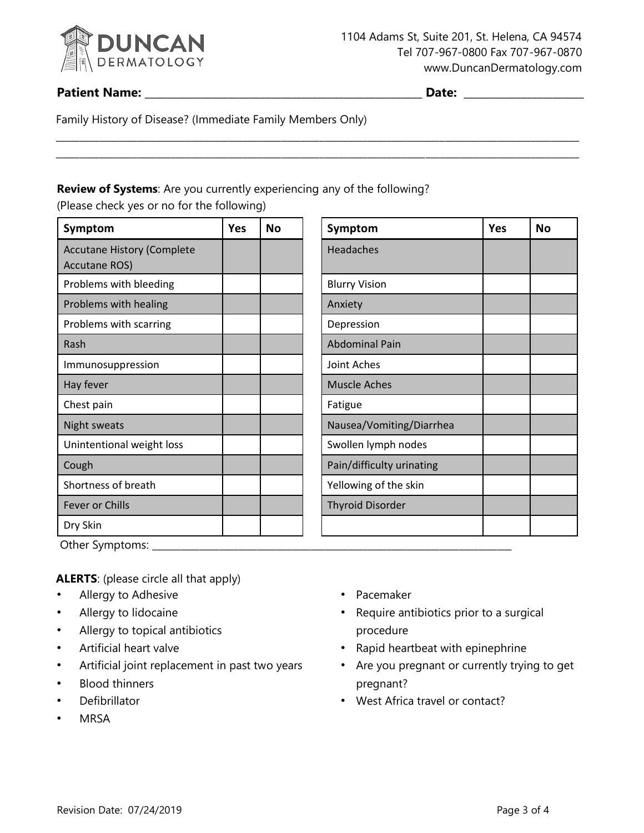

## **Patient Name: \_\_\_\_\_\_\_\_\_\_\_\_\_\_\_\_\_\_\_\_\_\_\_\_\_\_\_\_\_\_\_\_\_\_\_\_\_\_\_\_\_\_\_\_\_\_\_\_\_\_\_\_\_ Date: \_\_\_\_\_\_\_\_\_\_\_\_\_\_\_\_\_\_\_\_\_\_\_**

\_\_\_\_\_\_\_\_\_\_\_\_\_\_\_\_\_\_\_\_\_\_\_\_\_\_\_\_\_\_\_\_\_\_\_\_\_\_\_\_\_\_\_\_\_\_\_\_\_\_\_\_\_\_\_\_\_\_\_\_\_\_\_\_\_\_\_\_\_\_\_\_\_\_\_\_\_\_\_\_\_\_\_\_\_\_\_\_\_\_\_\_\_\_\_\_\_\_\_\_\_\_\_\_\_\_\_\_\_

Family History of Disease? (Immediate Family Members Only)

### **Review of Systems**: Are you currently experiencing any of the following?

\_\_\_\_\_\_\_\_\_\_\_\_\_\_\_\_\_\_\_\_\_\_\_\_\_\_\_\_\_\_\_\_\_\_\_\_\_\_\_\_\_\_\_\_\_\_\_\_\_\_\_\_\_\_\_\_\_\_\_\_\_\_\_\_\_\_\_\_\_\_\_\_\_\_\_\_\_\_\_\_\_\_\_\_\_\_\_\_\_\_\_\_\_\_\_\_\_\_\_\_\_\_\_\_\_\_\_\_\_

(Please check yes or no for the following)

| <b>Yes</b> | <b>No</b> | Symptom                   | Yes | No |
|------------|-----------|---------------------------|-----|----|
|            |           | Headaches                 |     |    |
|            |           | <b>Blurry Vision</b>      |     |    |
|            |           | Anxiety                   |     |    |
|            |           | Depression                |     |    |
|            |           | <b>Abdominal Pain</b>     |     |    |
|            |           | Joint Aches               |     |    |
|            |           | <b>Muscle Aches</b>       |     |    |
|            |           | Fatigue                   |     |    |
|            |           | Nausea/Vomiting/Diarrhea  |     |    |
|            |           | Swollen lymph nodes       |     |    |
|            |           | Pain/difficulty urinating |     |    |
|            |           | Yellowing of the skin     |     |    |
|            |           | <b>Thyroid Disorder</b>   |     |    |
|            |           |                           |     |    |
|            |           |                           |     |    |

| Symptom                   | Yes | No |
|---------------------------|-----|----|
| Headaches                 |     |    |
| <b>Blurry Vision</b>      |     |    |
| Anxiety                   |     |    |
| Depression                |     |    |
| <b>Abdominal Pain</b>     |     |    |
| Joint Aches               |     |    |
| <b>Muscle Aches</b>       |     |    |
| Fatigue                   |     |    |
| Nausea/Vomiting/Diarrhea  |     |    |
| Swollen lymph nodes       |     |    |
| Pain/difficulty urinating |     |    |
| Yellowing of the skin     |     |    |
| <b>Thyroid Disorder</b>   |     |    |
|                           |     |    |

Other Symptoms: \_\_\_\_\_\_\_\_\_\_\_\_\_\_\_\_\_\_\_\_\_\_\_\_\_\_\_\_\_\_\_\_\_\_\_\_\_\_\_\_\_\_\_\_\_\_\_\_\_\_\_\_\_\_\_\_\_\_\_\_\_\_\_\_\_\_\_\_\_\_\_\_\_\_\_

**ALERTS**: (please circle all that apply)

- Allergy to Adhesive
- Allergy to lidocaine
- Allergy to topical antibiotics
- Artificial heart valve
- Artificial joint replacement in past two years
- **Blood thinners**
- **Defibrillator**
- **MRSA**
- Pacemaker
- Require antibiotics prior to a surgical procedure
- Rapid heartbeat with epinephrine
- Are you pregnant or currently trying to get pregnant?
- West Africa travel or contact?